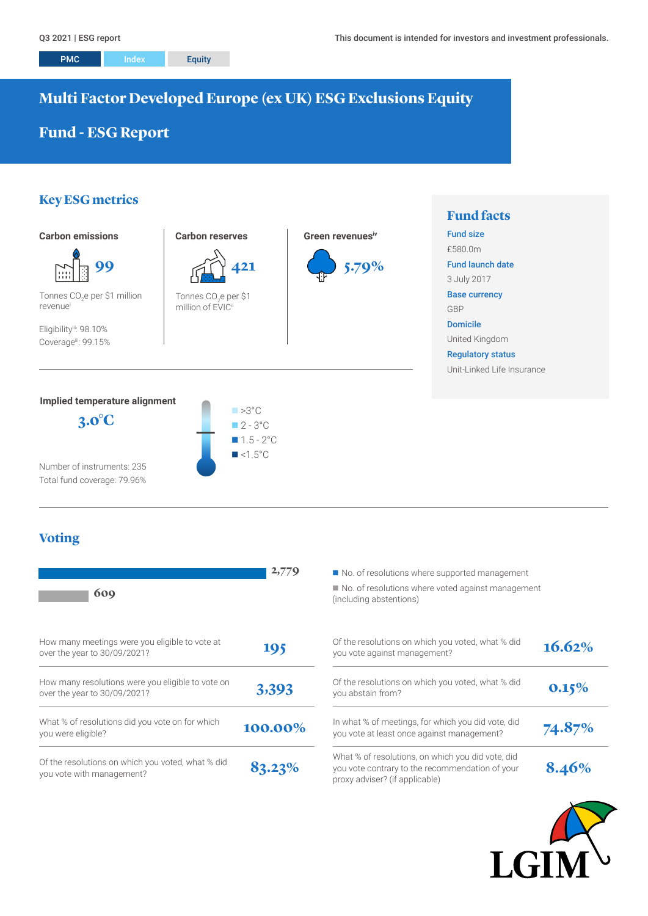# **Multi Factor Developed Europe (ex UK) ESG Exclusions Equity**

# **Fund - ESG Report**

# **Key ESG metrics**



Number of instruments: 235 Total fund coverage: 79.96%

## **Voting**

| 609                                                                               | 2,779   | No. of resolutions where supported management<br>No. of resolutions where voted against manage<br>(including abstentions)              |
|-----------------------------------------------------------------------------------|---------|----------------------------------------------------------------------------------------------------------------------------------------|
| How many meetings were you eligible to vote at<br>over the year to 30/09/2021?    | 195     | Of the resolutions on which you voted, what % did<br>you vote against management?                                                      |
| How many resolutions were you eligible to vote on<br>over the year to 30/09/2021? | 3,393   | Of the resolutions on which you voted, what % did<br>you abstain from?                                                                 |
| What % of resolutions did you vote on for which<br>you were eligible?             | 100.00% | In what % of meetings, for which you did vote, did<br>you vote at least once against management?                                       |
| Of the resolutions on which you voted, what % did<br>you vote with management?    | 83.23%  | What % of resolutions, on which you did vote, did<br>you vote contrary to the recommendation of your<br>proxy adviser? (if applicable) |

 $\blacksquare$  No. of resolutions where voted against management (including abstentions)

| Of the resolutions on which you voted, what % did<br>you vote against management?                                                      | 16.62% |
|----------------------------------------------------------------------------------------------------------------------------------------|--------|
| Of the resolutions on which you voted, what % did<br>you abstain from?                                                                 | 0.15%  |
| In what % of meetings, for which you did vote, did<br>you vote at least once against management?                                       | 74.87% |
| What % of resolutions, on which you did vote, did<br>you vote contrary to the recommendation of your<br>proxy adviser? (if applicable) | 8.46%  |

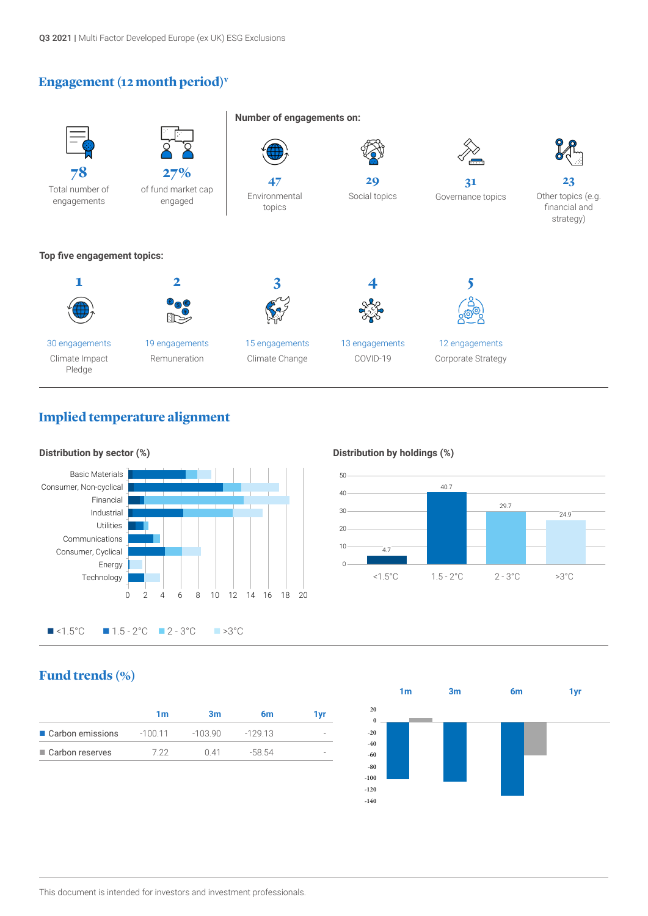# **Engagement (12 month period)v**



## **Implied temperature alignment**



**Distribution by holdings (%)**



# **Fund trends (%)**

|                    | 1m       | Зm       | 6m       | l vr |
|--------------------|----------|----------|----------|------|
| ■ Carbon emissions | $-10011$ | $-10390$ | $-12913$ |      |
| ■ Carbon reserves  | 7 22     | O 41     | -58.54   |      |
|                    |          |          |          |      |

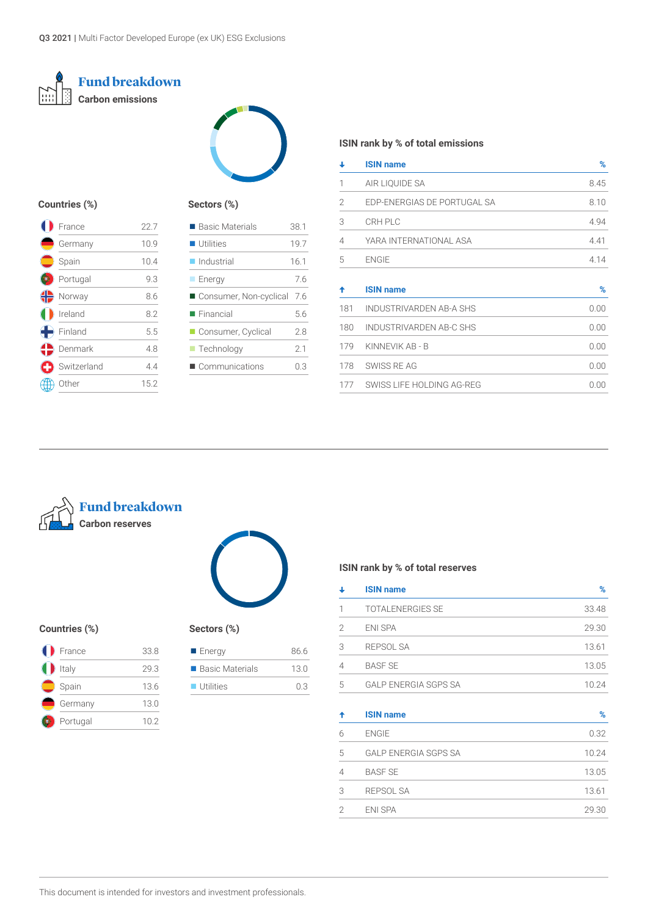



## **Countries (%)**

| France      | 22.7 |
|-------------|------|
| Germany     | 10.9 |
| Spain       | 10.4 |
| Portugal    | 9.3  |
| Norway      | 8.6  |
| Ireland     | 8.2  |
| Finland     | 5.5  |
| Denmark     | 4.8  |
| Switzerland | 4.4  |
| Other       | 15.2 |
|             |      |

## **Sectors (%)**

| ■ Basic Materials         | 38.1 |
|---------------------------|------|
| <b>Utilities</b>          | 197  |
| $\blacksquare$ Industrial | 16.1 |
| $\blacksquare$ Energy     | 76   |
| ■ Consumer, Non-cyclical  | 7.6  |
| $\blacksquare$ Financial  | 5.6  |
| ■ Consumer, Cyclical      | 28   |
| $\blacksquare$ Technology | 2.1  |
| Communications            | 0.3  |
|                           |      |

## **ISIN rank by % of total emissions**

| ↓              | <b>ISIN name</b>               | %    |
|----------------|--------------------------------|------|
| 1              | AIR LIQUIDE SA                 | 8.45 |
| $\overline{2}$ | EDP-ENERGIAS DE PORTUGAL SA    | 8.10 |
| 3              | CRH PLC                        | 4.94 |
| 4              | YARA INTERNATIONAL ASA         | 4.41 |
| 5              | <b>ENGIE</b>                   | 4.14 |
| ✦              | <b>ISIN name</b>               | %    |
| 181            | <b>INDUSTRIVARDEN AB-A SHS</b> | 0.00 |
| 180            | <b>INDUSTRIVARDEN AB-C SHS</b> | 0.00 |
| 179            | KINNEVIK AB - B                | 0.00 |
| 178            | SWISS RE AG                    | 0.00 |
| 177            | SWISS LIFE HOLDING AG-REG      | 0.00 |





### **Countries (%) Sectors (%)**

| France   | 33.8 |
|----------|------|
| Italy    | 29.3 |
| Spain    | 13.6 |
| Germany  | 13.0 |
| Portugal | 10.2 |

| ■ Energy                 | 86.6 |
|--------------------------|------|
| ■ Basic Materials        | 130  |
| $\blacksquare$ Utilities | 03   |

## **ISIN rank by % of total reserves**

|   | <b>ISIN name</b>            | ℅     |
|---|-----------------------------|-------|
|   | <b>TOTALENERGIES SE</b>     | 33.48 |
| 2 | <b>ENI SPA</b>              | 29.30 |
| 3 | REPSOL SA                   | 13.61 |
| 4 | <b>BASE SE</b>              | 13.05 |
| 5 | <b>GALP ENERGIA SGPS SA</b> | 10 24 |
|   |                             |       |

| ✦ | <b>ISIN name</b>            | %     |
|---|-----------------------------|-------|
| 6 | <b>ENGIE</b>                | 0.32  |
| 5 | <b>GALP ENERGIA SGPS SA</b> | 10.24 |
| 4 | <b>BASF SE</b>              | 13.05 |
| 3 | <b>REPSOL SA</b>            | 13.61 |
| 2 | <b>ENI SPA</b>              | 29.30 |